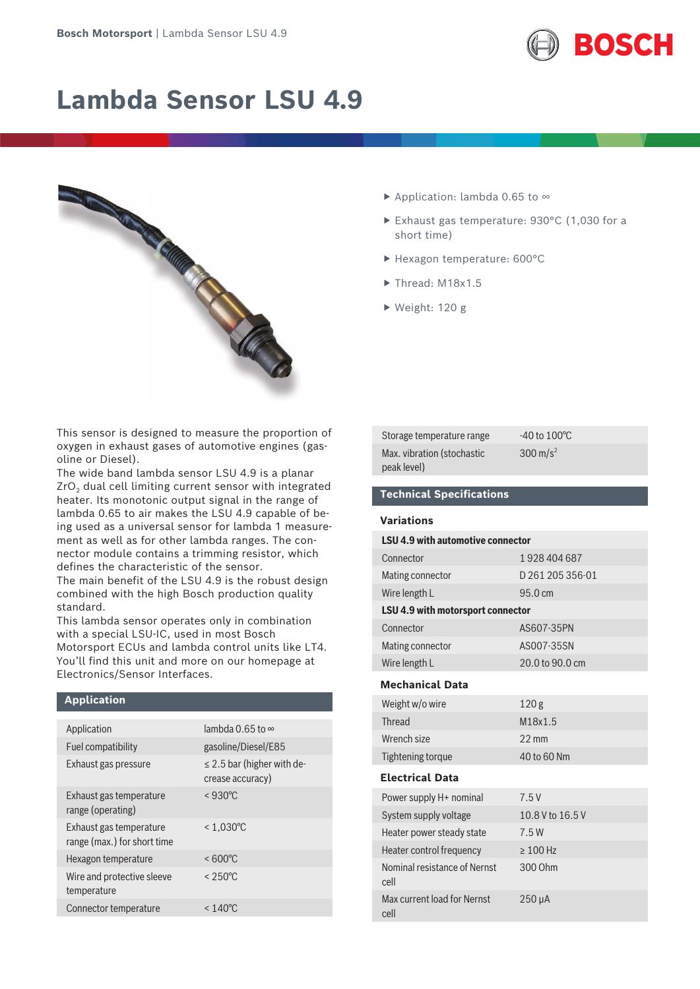

# **Lambda Sensor LSU 4.9**



This sensor is designed to measure the proportion of oxygen in exhaust gases of automotive engines (gasoline or Diesel).

The wide band lambda sensor LSU 4.9 is a planar  $ZrO<sub>2</sub>$  dual cell limiting current sensor with integrated heater. Its monotonic output signal in the range of lambda 0.65 to air makes the LSU 4.9 capable of being used as a universal sensor for lambda 1 measurement as well as for other lambda ranges. The connector module contains a trimming resistor, which defines the characteristic of the sensor.

The main benefit of the LSU 4.9 is the robust design combined with the high Bosch production quality standard.

This lambda sensor operates only in combination with a special LSU-IC, used in most Bosch Motorsport ECUs and lambda control units like LT4. You'll find this unit and more on our homepage at Electronics/Sensor Interfaces.

# **Application**

| Application                                            | lambda 0.65 to $\infty$                             |
|--------------------------------------------------------|-----------------------------------------------------|
| Fuel compatibility                                     | gasoline/Diesel/E85                                 |
| Exhaust gas pressure                                   | $\leq$ 2.5 bar (higher with de-<br>crease accuracy) |
| Exhaust gas temperature<br>range (operating)           | $< 930^{\circ}$ C                                   |
| Exhaust gas temperature<br>range (max.) for short time | $< 1.030^{\circ}$ C                                 |
| Hexagon temperature                                    | $< 600^{\circ}$ C                                   |
| Wire and protective sleeve<br>temperature              | $< 250^{\circ}$ C                                   |
| Connector temperature                                  | $< 140^{\circ}$ C                                   |

- Application: lambda 0.65 to ∞
- ▶ Exhaust gas temperature: 930°C (1,030 for a short time)
- ▶ Hexagon temperature: 600°C
- Thread: M18x1.5
- ▶ Weight: 120 g

| Storage temperature range   | $-40$ to $100^{\circ}$ C |
|-----------------------------|--------------------------|
| Max. vibration (stochastic) | 300 m/s <sup>2</sup>     |
| peak level)                 |                          |

# **Technical Specifications**

**Variations**

| variations                               |                  |  |  |  |
|------------------------------------------|------------------|--|--|--|
| <b>LSU 4.9 with automotive connector</b> |                  |  |  |  |
| Connector                                | 1928404687       |  |  |  |
| Mating connector                         | D 261 205 356-01 |  |  |  |
| Wire length L                            | 95.0 cm          |  |  |  |
| LSU 4.9 with motorsport connector        |                  |  |  |  |
| Connector                                | AS607-35PN       |  |  |  |
| Mating connector                         | AS007-35SN       |  |  |  |
| Wire length L                            | 20.0 to 90.0 cm  |  |  |  |
| <b>Mechanical Data</b>                   |                  |  |  |  |
| Weight w/o wire                          | 120 <sub>g</sub> |  |  |  |
| Thread                                   | M18x1.5          |  |  |  |
| Wrench size                              | $22 \text{ mm}$  |  |  |  |
| <b>Tightening torque</b>                 | 40 to 60 Nm      |  |  |  |
| <b>Electrical Data</b>                   |                  |  |  |  |
| Power supply H+ nominal                  | 7.5V             |  |  |  |
| System supply voltage                    | 10.8 V to 16.5 V |  |  |  |
| Heater power steady state                | 7.5W             |  |  |  |
| Heater control frequency                 | $\geq 100$ Hz    |  |  |  |
| Nominal resistance of Nernst<br>cell     | 300 Ohm          |  |  |  |
| Max current load for Nernst<br>cell      | $250 \mu A$      |  |  |  |
|                                          |                  |  |  |  |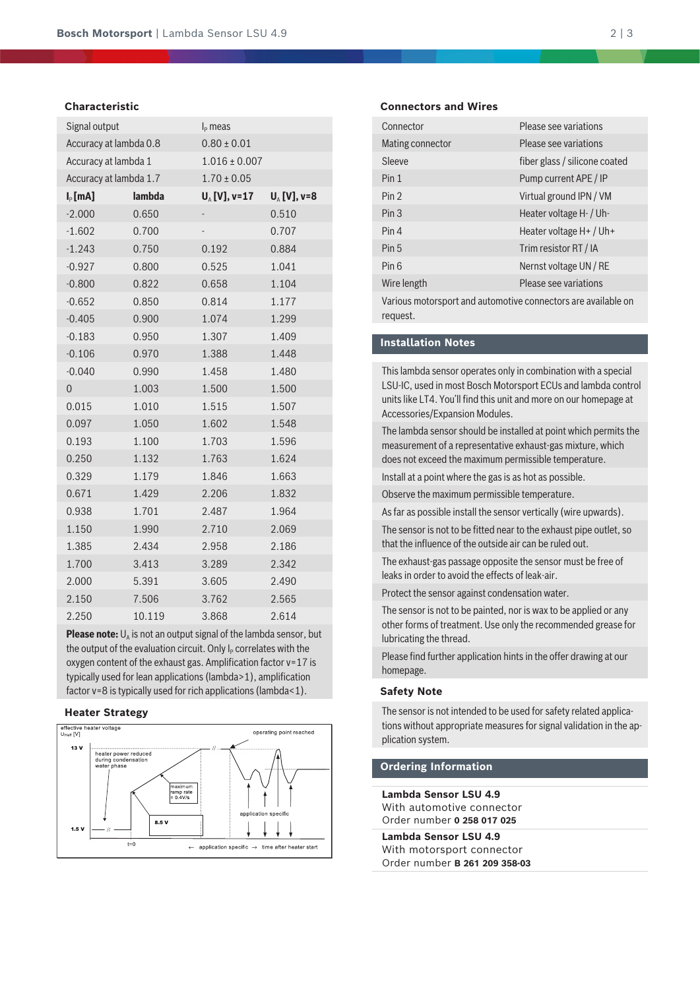# **Characteristic**

| Signal output          |        | $I_{\rm p}$ meas         |                         |  |  |
|------------------------|--------|--------------------------|-------------------------|--|--|
| Accuracy at lambda 0.8 |        | $0.80 \pm 0.01$          |                         |  |  |
| Accuracy at lambda 1   |        | $1.016 \pm 0.007$        |                         |  |  |
| Accuracy at lambda 1.7 |        | $1.70 \pm 0.05$          |                         |  |  |
| $I_{\rm p}$ [mA]       | lambda | $U_{\text{A}}$ [V], v=17 | $U_{\text{A}}$ [V], v=8 |  |  |
| $-2.000$               | 0.650  |                          | 0.510                   |  |  |
| $-1.602$               | 0.700  |                          | 0.707                   |  |  |
| $-1.243$               | 0.750  | 0.192                    | 0.884                   |  |  |
| $-0.927$               | 0.800  | 0.525                    | 1.041                   |  |  |
| $-0.800$               | 0.822  | 0.658                    | 1.104                   |  |  |
| $-0.652$               | 0.850  | 0.814                    | 1.177                   |  |  |
| $-0.405$               | 0.900  | 1.074                    | 1.299                   |  |  |
| $-0.183$               | 0.950  | 1.307                    | 1.409                   |  |  |
| $-0.106$               | 0.970  | 1.388                    | 1.448                   |  |  |
| $-0.040$               | 0.990  | 1.458                    | 1.480                   |  |  |
| 0                      | 1.003  | 1.500                    | 1.500                   |  |  |
| 0.015                  | 1.010  | 1.515                    | 1.507                   |  |  |
| 0.097                  | 1.050  | 1.602                    | 1.548                   |  |  |
| 0.193                  | 1.100  | 1.703                    | 1.596                   |  |  |
| 0.250                  | 1.132  | 1.763                    | 1.624                   |  |  |
| 0.329                  | 1.179  | 1.846                    | 1.663                   |  |  |
| 0.671                  | 1.429  | 2.206                    | 1.832                   |  |  |
| 0.938                  | 1.701  | 2.487                    | 1.964                   |  |  |
| 1.150                  | 1.990  | 2.710                    | 2.069                   |  |  |
| 1.385                  | 2.434  | 2.958                    | 2.186                   |  |  |
| 1.700                  | 3.413  | 3.289                    | 2.342                   |  |  |
| 2.000                  | 5.391  | 3.605                    | 2.490                   |  |  |
| 2.150                  | 7.506  | 3.762                    | 2.565                   |  |  |
| 2.250                  | 10.119 | 3.868                    | 2.614                   |  |  |

**Please note:**  $U_{\alpha}$  is not an output signal of the lambda sensor, but the output of the evaluation circuit. Only  $I_p$  correlates with the oxygen content of the exhaust gas. Amplification factor v=17 is typically used for lean applications (lambda>1), amplification factor v=8 is typically used for rich applications (lambda<1).

# **Heater Strategy**



### **Connectors and Wires**

| Connector        | Please see variations         |
|------------------|-------------------------------|
| Mating connector | Please see variations         |
| Sleeve           | fiber glass / silicone coated |
| Pin 1            | Pump current APE / IP         |
| Pin 2            | Virtual ground IPN / VM       |
| Pin <sub>3</sub> | Heater voltage H- / Uh-       |
| Pin 4            | Heater voltage $H+$ / Uh+     |
| Pin 5            | Trim resistor RT / IA         |
| Pin 6            | Nernst voltage UN / RE        |
| Wire length      | Please see variations         |
|                  |                               |

Various motorsport and automotive connectors are available on request.

# **Installation Notes**

This lambda sensor operates only in combination with a special LSU-IC, used in most Bosch Motorsport ECUs and lambda control units like LT4. You'll find this unit and more on our homepage at Accessories/Expansion Modules.

The lambda sensor should be installed at point which permits the measurement of a representative exhaust-gas mixture, which does not exceed the maximum permissible temperature.

Install at a point where the gas is as hot as possible.

Observe the maximum permissible temperature.

As far as possible install the sensor vertically (wire upwards).

The sensor is not to be fitted near to the exhaust pipe outlet, so that the influence of the outside air can be ruled out.

The exhaust-gas passage opposite the sensor must be free of leaks in order to avoid the effects of leak-air.

Protect the sensor against condensation water.

The sensor is not to be painted, nor is wax to be applied or any other forms of treatment. Use only the recommended grease for lubricating the thread.

Please find further application hints in the offer drawing at our homepage.

# **Safety Note**

The sensor is not intended to be used for safety related applications without appropriate measures for signal validation in the application system.

## **Ordering Information**

**Lambda Sensor LSU 4.9** With automotive connector Order number **0 258 017 025**

**Lambda Sensor LSU 4.9**

With motorsport connector Order number **B 261 209 358-03**